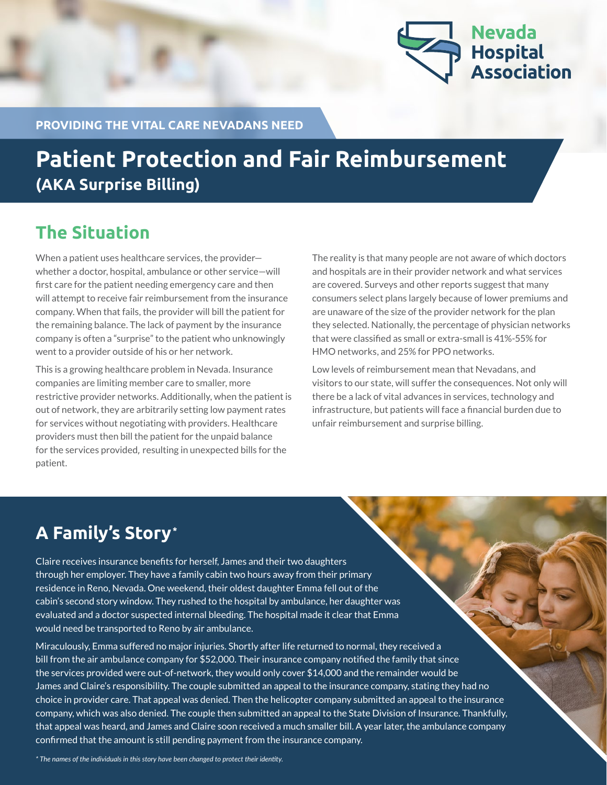

**PROVIDING THE VITAL CARE NEVADANS NEED**

# **Patient Protection and Fair Reimbursement (AKA Surprise Billing)**

### **The Situation**

When a patient uses healthcare services, the provider whether a doctor, hospital, ambulance or other service—will first care for the patient needing emergency care and then will attempt to receive fair reimbursement from the insurance company. When that fails, the provider will bill the patient for the remaining balance. The lack of payment by the insurance company is often a "surprise" to the patient who unknowingly went to a provider outside of his or her network.

This is a growing healthcare problem in Nevada. Insurance companies are limiting member care to smaller, more restrictive provider networks. Additionally, when the patient is out of network, they are arbitrarily setting low payment rates for services without negotiating with providers. Healthcare providers must then bill the patient for the unpaid balance for the services provided, resulting in unexpected bills for the patient.

The reality is that many people are not aware of which doctors and hospitals are in their provider network and what services are covered. Surveys and other reports suggest that many consumers select plans largely because of lower premiums and are unaware of the size of the provider network for the plan they selected. Nationally, the percentage of physician networks that were classified as small or extra-small is 41%-55% for HMO networks, and 25% for PPO networks.

Low levels of reimbursement mean that Nevadans, and visitors to our state, will suffer the consequences. Not only will there be a lack of vital advances in services, technology and infrastructure, but patients will face a financial burden due to unfair reimbursement and surprise billing.

### **A Family's Story\***

Claire receives insurance benefits for herself, James and their two daughters through her employer. They have a family cabin two hours away from their primary residence in Reno, Nevada. One weekend, their oldest daughter Emma fell out of the cabin's second story window. They rushed to the hospital by ambulance, her daughter was evaluated and a doctor suspected internal bleeding. The hospital made it clear that Emma would need be transported to Reno by air ambulance.

Miraculously, Emma suffered no major injuries. Shortly after life returned to normal, they received a bill from the air ambulance company for \$52,000. Their insurance company notified the family that since the services provided were out-of-network, they would only cover \$14,000 and the remainder would be James and Claire's responsibility. The couple submitted an appeal to the insurance company, stating they had no choice in provider care. That appeal was denied. Then the helicopter company submitted an appeal to the insurance company, which was also denied. The couple then submitted an appeal to the State Division of Insurance. Thankfully, that appeal was heard, and James and Claire soon received a much smaller bill. A year later, the ambulance company confirmed that the amount is still pending payment from the insurance company.

*\* The names of the individuals in this story have been changed to protect their identity.*